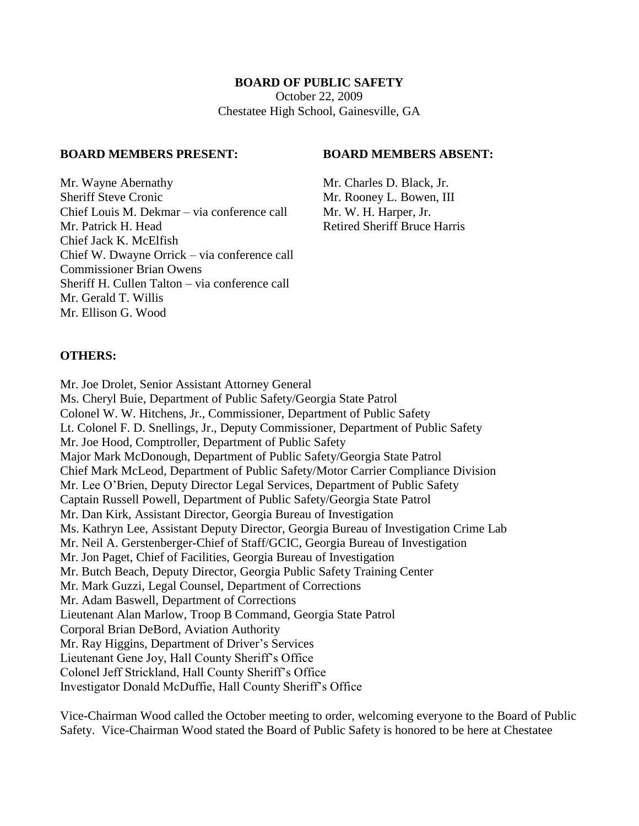#### **BOARD OF PUBLIC SAFETY**

October 22, 2009 Chestatee High School, Gainesville, GA

#### **BOARD MEMBERS PRESENT: BOARD MEMBERS ABSENT:**

Mr. Wayne Abernathy Mr. Charles D. Black, Jr. Sheriff Steve Cronic Mr. Rooney L. Bowen, III Chief Louis M. Dekmar – via conference call Mr. W. H. Harper, Jr. Mr. Patrick H. Head Retired Sheriff Bruce Harris Chief Jack K. McElfish Chief W. Dwayne Orrick – via conference call Commissioner Brian Owens Sheriff H. Cullen Talton – via conference call Mr. Gerald T. Willis Mr. Ellison G. Wood

### **OTHERS:**

Mr. Joe Drolet, Senior Assistant Attorney General Ms. Cheryl Buie, Department of Public Safety/Georgia State Patrol Colonel W. W. Hitchens, Jr., Commissioner, Department of Public Safety Lt. Colonel F. D. Snellings, Jr., Deputy Commissioner, Department of Public Safety Mr. Joe Hood, Comptroller, Department of Public Safety Major Mark McDonough, Department of Public Safety/Georgia State Patrol Chief Mark McLeod, Department of Public Safety/Motor Carrier Compliance Division Mr. Lee O'Brien, Deputy Director Legal Services, Department of Public Safety Captain Russell Powell, Department of Public Safety/Georgia State Patrol Mr. Dan Kirk, Assistant Director, Georgia Bureau of Investigation Ms. Kathryn Lee, Assistant Deputy Director, Georgia Bureau of Investigation Crime Lab Mr. Neil A. Gerstenberger-Chief of Staff/GCIC, Georgia Bureau of Investigation Mr. Jon Paget, Chief of Facilities, Georgia Bureau of Investigation Mr. Butch Beach, Deputy Director, Georgia Public Safety Training Center Mr. Mark Guzzi, Legal Counsel, Department of Corrections Mr. Adam Baswell, Department of Corrections Lieutenant Alan Marlow, Troop B Command, Georgia State Patrol Corporal Brian DeBord, Aviation Authority Mr. Ray Higgins, Department of Driver's Services Lieutenant Gene Joy, Hall County Sheriff's Office Colonel Jeff Strickland, Hall County Sheriff's Office Investigator Donald McDuffie, Hall County Sheriff's Office

Vice-Chairman Wood called the October meeting to order, welcoming everyone to the Board of Public Safety. Vice-Chairman Wood stated the Board of Public Safety is honored to be here at Chestatee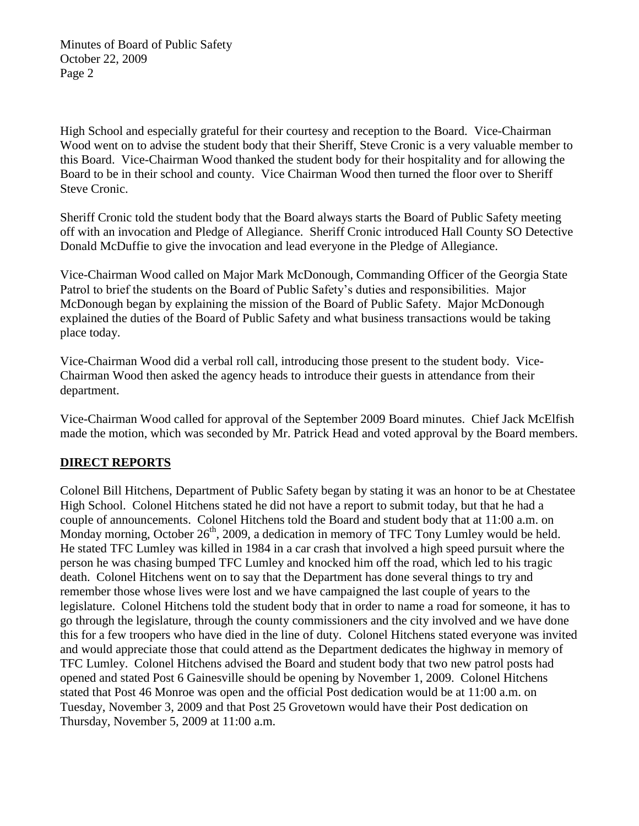High School and especially grateful for their courtesy and reception to the Board. Vice-Chairman Wood went on to advise the student body that their Sheriff, Steve Cronic is a very valuable member to this Board. Vice-Chairman Wood thanked the student body for their hospitality and for allowing the Board to be in their school and county. Vice Chairman Wood then turned the floor over to Sheriff Steve Cronic.

Sheriff Cronic told the student body that the Board always starts the Board of Public Safety meeting off with an invocation and Pledge of Allegiance. Sheriff Cronic introduced Hall County SO Detective Donald McDuffie to give the invocation and lead everyone in the Pledge of Allegiance.

Vice-Chairman Wood called on Major Mark McDonough, Commanding Officer of the Georgia State Patrol to brief the students on the Board of Public Safety's duties and responsibilities. Major McDonough began by explaining the mission of the Board of Public Safety. Major McDonough explained the duties of the Board of Public Safety and what business transactions would be taking place today.

Vice-Chairman Wood did a verbal roll call, introducing those present to the student body. Vice-Chairman Wood then asked the agency heads to introduce their guests in attendance from their department.

Vice-Chairman Wood called for approval of the September 2009 Board minutes. Chief Jack McElfish made the motion, which was seconded by Mr. Patrick Head and voted approval by the Board members.

# **DIRECT REPORTS**

Colonel Bill Hitchens, Department of Public Safety began by stating it was an honor to be at Chestatee High School. Colonel Hitchens stated he did not have a report to submit today, but that he had a couple of announcements. Colonel Hitchens told the Board and student body that at 11:00 a.m. on Monday morning, October 26<sup>th</sup>, 2009, a dedication in memory of TFC Tony Lumley would be held. He stated TFC Lumley was killed in 1984 in a car crash that involved a high speed pursuit where the person he was chasing bumped TFC Lumley and knocked him off the road, which led to his tragic death. Colonel Hitchens went on to say that the Department has done several things to try and remember those whose lives were lost and we have campaigned the last couple of years to the legislature. Colonel Hitchens told the student body that in order to name a road for someone, it has to go through the legislature, through the county commissioners and the city involved and we have done this for a few troopers who have died in the line of duty. Colonel Hitchens stated everyone was invited and would appreciate those that could attend as the Department dedicates the highway in memory of TFC Lumley. Colonel Hitchens advised the Board and student body that two new patrol posts had opened and stated Post 6 Gainesville should be opening by November 1, 2009. Colonel Hitchens stated that Post 46 Monroe was open and the official Post dedication would be at 11:00 a.m. on Tuesday, November 3, 2009 and that Post 25 Grovetown would have their Post dedication on Thursday, November 5, 2009 at 11:00 a.m.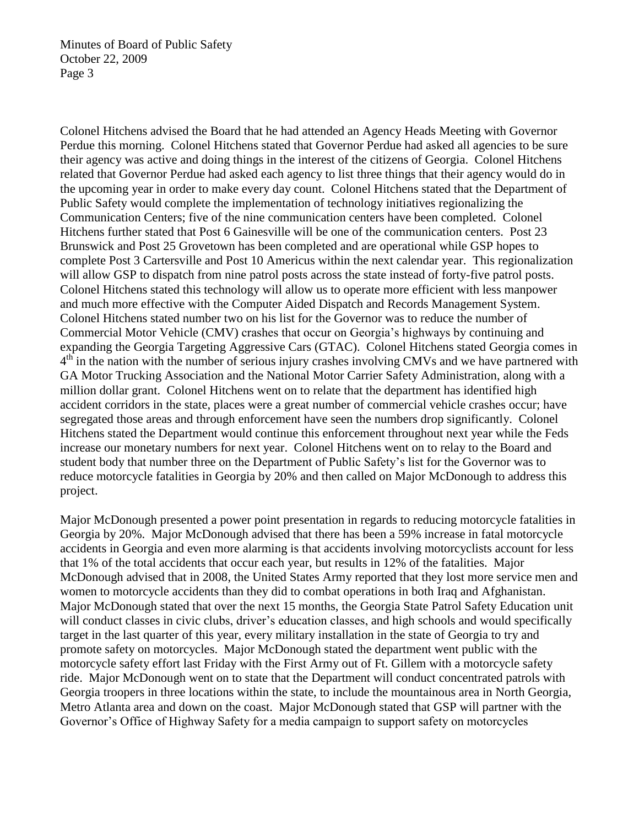Colonel Hitchens advised the Board that he had attended an Agency Heads Meeting with Governor Perdue this morning. Colonel Hitchens stated that Governor Perdue had asked all agencies to be sure their agency was active and doing things in the interest of the citizens of Georgia. Colonel Hitchens related that Governor Perdue had asked each agency to list three things that their agency would do in the upcoming year in order to make every day count. Colonel Hitchens stated that the Department of Public Safety would complete the implementation of technology initiatives regionalizing the Communication Centers; five of the nine communication centers have been completed. Colonel Hitchens further stated that Post 6 Gainesville will be one of the communication centers. Post 23 Brunswick and Post 25 Grovetown has been completed and are operational while GSP hopes to complete Post 3 Cartersville and Post 10 Americus within the next calendar year. This regionalization will allow GSP to dispatch from nine patrol posts across the state instead of forty-five patrol posts. Colonel Hitchens stated this technology will allow us to operate more efficient with less manpower and much more effective with the Computer Aided Dispatch and Records Management System. Colonel Hitchens stated number two on his list for the Governor was to reduce the number of Commercial Motor Vehicle (CMV) crashes that occur on Georgia's highways by continuing and expanding the Georgia Targeting Aggressive Cars (GTAC). Colonel Hitchens stated Georgia comes in 4<sup>th</sup> in the nation with the number of serious injury crashes involving CMVs and we have partnered with GA Motor Trucking Association and the National Motor Carrier Safety Administration, along with a million dollar grant. Colonel Hitchens went on to relate that the department has identified high accident corridors in the state, places were a great number of commercial vehicle crashes occur; have segregated those areas and through enforcement have seen the numbers drop significantly. Colonel Hitchens stated the Department would continue this enforcement throughout next year while the Feds increase our monetary numbers for next year. Colonel Hitchens went on to relay to the Board and student body that number three on the Department of Public Safety's list for the Governor was to reduce motorcycle fatalities in Georgia by 20% and then called on Major McDonough to address this project.

Major McDonough presented a power point presentation in regards to reducing motorcycle fatalities in Georgia by 20%. Major McDonough advised that there has been a 59% increase in fatal motorcycle accidents in Georgia and even more alarming is that accidents involving motorcyclists account for less that 1% of the total accidents that occur each year, but results in 12% of the fatalities. Major McDonough advised that in 2008, the United States Army reported that they lost more service men and women to motorcycle accidents than they did to combat operations in both Iraq and Afghanistan. Major McDonough stated that over the next 15 months, the Georgia State Patrol Safety Education unit will conduct classes in civic clubs, driver's education classes, and high schools and would specifically target in the last quarter of this year, every military installation in the state of Georgia to try and promote safety on motorcycles. Major McDonough stated the department went public with the motorcycle safety effort last Friday with the First Army out of Ft. Gillem with a motorcycle safety ride. Major McDonough went on to state that the Department will conduct concentrated patrols with Georgia troopers in three locations within the state, to include the mountainous area in North Georgia, Metro Atlanta area and down on the coast. Major McDonough stated that GSP will partner with the Governor's Office of Highway Safety for a media campaign to support safety on motorcycles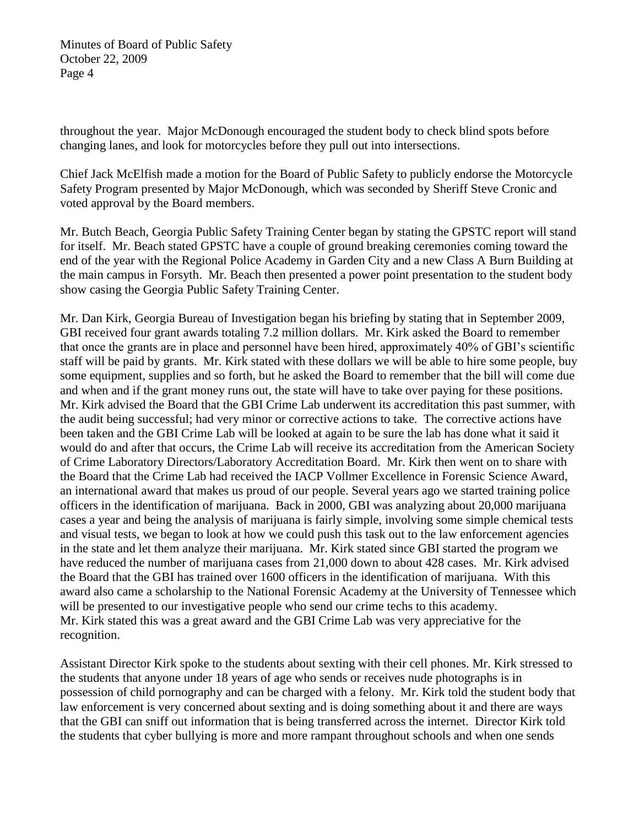throughout the year. Major McDonough encouraged the student body to check blind spots before changing lanes, and look for motorcycles before they pull out into intersections.

Chief Jack McElfish made a motion for the Board of Public Safety to publicly endorse the Motorcycle Safety Program presented by Major McDonough, which was seconded by Sheriff Steve Cronic and voted approval by the Board members.

Mr. Butch Beach, Georgia Public Safety Training Center began by stating the GPSTC report will stand for itself. Mr. Beach stated GPSTC have a couple of ground breaking ceremonies coming toward the end of the year with the Regional Police Academy in Garden City and a new Class A Burn Building at the main campus in Forsyth. Mr. Beach then presented a power point presentation to the student body show casing the Georgia Public Safety Training Center.

Mr. Dan Kirk, Georgia Bureau of Investigation began his briefing by stating that in September 2009, GBI received four grant awards totaling 7.2 million dollars. Mr. Kirk asked the Board to remember that once the grants are in place and personnel have been hired, approximately 40% of GBI's scientific staff will be paid by grants. Mr. Kirk stated with these dollars we will be able to hire some people, buy some equipment, supplies and so forth, but he asked the Board to remember that the bill will come due and when and if the grant money runs out, the state will have to take over paying for these positions. Mr. Kirk advised the Board that the GBI Crime Lab underwent its accreditation this past summer, with the audit being successful; had very minor or corrective actions to take. The corrective actions have been taken and the GBI Crime Lab will be looked at again to be sure the lab has done what it said it would do and after that occurs, the Crime Lab will receive its accreditation from the American Society of Crime Laboratory Directors/Laboratory Accreditation Board. Mr. Kirk then went on to share with the Board that the Crime Lab had received the IACP Vollmer Excellence in Forensic Science Award, an international award that makes us proud of our people. Several years ago we started training police officers in the identification of marijuana. Back in 2000, GBI was analyzing about 20,000 marijuana cases a year and being the analysis of marijuana is fairly simple, involving some simple chemical tests and visual tests, we began to look at how we could push this task out to the law enforcement agencies in the state and let them analyze their marijuana. Mr. Kirk stated since GBI started the program we have reduced the number of marijuana cases from 21,000 down to about 428 cases. Mr. Kirk advised the Board that the GBI has trained over 1600 officers in the identification of marijuana. With this award also came a scholarship to the National Forensic Academy at the University of Tennessee which will be presented to our investigative people who send our crime techs to this academy. Mr. Kirk stated this was a great award and the GBI Crime Lab was very appreciative for the recognition.

Assistant Director Kirk spoke to the students about sexting with their cell phones. Mr. Kirk stressed to the students that anyone under 18 years of age who sends or receives nude photographs is in possession of child pornography and can be charged with a felony. Mr. Kirk told the student body that law enforcement is very concerned about sexting and is doing something about it and there are ways that the GBI can sniff out information that is being transferred across the internet. Director Kirk told the students that cyber bullying is more and more rampant throughout schools and when one sends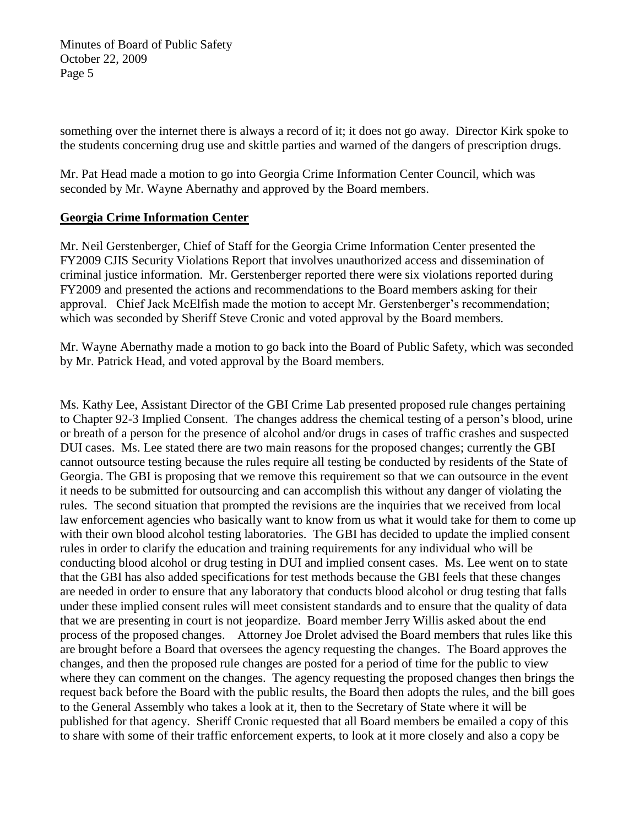something over the internet there is always a record of it; it does not go away. Director Kirk spoke to the students concerning drug use and skittle parties and warned of the dangers of prescription drugs.

Mr. Pat Head made a motion to go into Georgia Crime Information Center Council, which was seconded by Mr. Wayne Abernathy and approved by the Board members.

## **Georgia Crime Information Center**

Mr. Neil Gerstenberger, Chief of Staff for the Georgia Crime Information Center presented the FY2009 CJIS Security Violations Report that involves unauthorized access and dissemination of criminal justice information. Mr. Gerstenberger reported there were six violations reported during FY2009 and presented the actions and recommendations to the Board members asking for their approval. Chief Jack McElfish made the motion to accept Mr. Gerstenberger's recommendation; which was seconded by Sheriff Steve Cronic and voted approval by the Board members.

Mr. Wayne Abernathy made a motion to go back into the Board of Public Safety, which was seconded by Mr. Patrick Head, and voted approval by the Board members.

Ms. Kathy Lee, Assistant Director of the GBI Crime Lab presented proposed rule changes pertaining to Chapter 92-3 Implied Consent. The changes address the chemical testing of a person's blood, urine or breath of a person for the presence of alcohol and/or drugs in cases of traffic crashes and suspected DUI cases. Ms. Lee stated there are two main reasons for the proposed changes; currently the GBI cannot outsource testing because the rules require all testing be conducted by residents of the State of Georgia. The GBI is proposing that we remove this requirement so that we can outsource in the event it needs to be submitted for outsourcing and can accomplish this without any danger of violating the rules. The second situation that prompted the revisions are the inquiries that we received from local law enforcement agencies who basically want to know from us what it would take for them to come up with their own blood alcohol testing laboratories. The GBI has decided to update the implied consent rules in order to clarify the education and training requirements for any individual who will be conducting blood alcohol or drug testing in DUI and implied consent cases. Ms. Lee went on to state that the GBI has also added specifications for test methods because the GBI feels that these changes are needed in order to ensure that any laboratory that conducts blood alcohol or drug testing that falls under these implied consent rules will meet consistent standards and to ensure that the quality of data that we are presenting in court is not jeopardize. Board member Jerry Willis asked about the end process of the proposed changes. Attorney Joe Drolet advised the Board members that rules like this are brought before a Board that oversees the agency requesting the changes. The Board approves the changes, and then the proposed rule changes are posted for a period of time for the public to view where they can comment on the changes. The agency requesting the proposed changes then brings the request back before the Board with the public results, the Board then adopts the rules, and the bill goes to the General Assembly who takes a look at it, then to the Secretary of State where it will be published for that agency. Sheriff Cronic requested that all Board members be emailed a copy of this to share with some of their traffic enforcement experts, to look at it more closely and also a copy be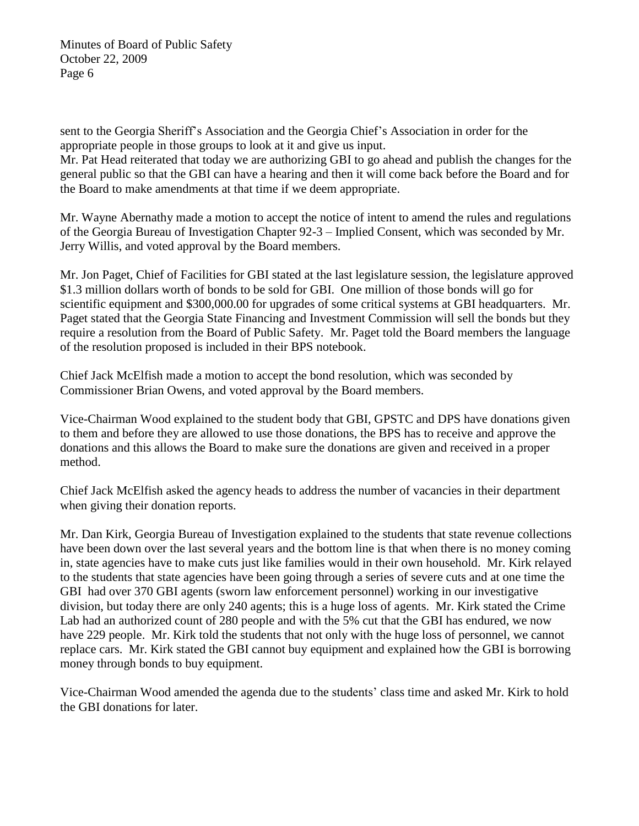sent to the Georgia Sheriff's Association and the Georgia Chief's Association in order for the appropriate people in those groups to look at it and give us input.

Mr. Pat Head reiterated that today we are authorizing GBI to go ahead and publish the changes for the general public so that the GBI can have a hearing and then it will come back before the Board and for the Board to make amendments at that time if we deem appropriate.

Mr. Wayne Abernathy made a motion to accept the notice of intent to amend the rules and regulations of the Georgia Bureau of Investigation Chapter 92-3 – Implied Consent, which was seconded by Mr. Jerry Willis, and voted approval by the Board members.

Mr. Jon Paget, Chief of Facilities for GBI stated at the last legislature session, the legislature approved \$1.3 million dollars worth of bonds to be sold for GBI. One million of those bonds will go for scientific equipment and \$300,000.00 for upgrades of some critical systems at GBI headquarters. Mr. Paget stated that the Georgia State Financing and Investment Commission will sell the bonds but they require a resolution from the Board of Public Safety. Mr. Paget told the Board members the language of the resolution proposed is included in their BPS notebook.

Chief Jack McElfish made a motion to accept the bond resolution, which was seconded by Commissioner Brian Owens, and voted approval by the Board members.

Vice-Chairman Wood explained to the student body that GBI, GPSTC and DPS have donations given to them and before they are allowed to use those donations, the BPS has to receive and approve the donations and this allows the Board to make sure the donations are given and received in a proper method.

Chief Jack McElfish asked the agency heads to address the number of vacancies in their department when giving their donation reports.

Mr. Dan Kirk, Georgia Bureau of Investigation explained to the students that state revenue collections have been down over the last several years and the bottom line is that when there is no money coming in, state agencies have to make cuts just like families would in their own household. Mr. Kirk relayed to the students that state agencies have been going through a series of severe cuts and at one time the GBI had over 370 GBI agents (sworn law enforcement personnel) working in our investigative division, but today there are only 240 agents; this is a huge loss of agents. Mr. Kirk stated the Crime Lab had an authorized count of 280 people and with the 5% cut that the GBI has endured, we now have 229 people. Mr. Kirk told the students that not only with the huge loss of personnel, we cannot replace cars. Mr. Kirk stated the GBI cannot buy equipment and explained how the GBI is borrowing money through bonds to buy equipment.

Vice-Chairman Wood amended the agenda due to the students' class time and asked Mr. Kirk to hold the GBI donations for later.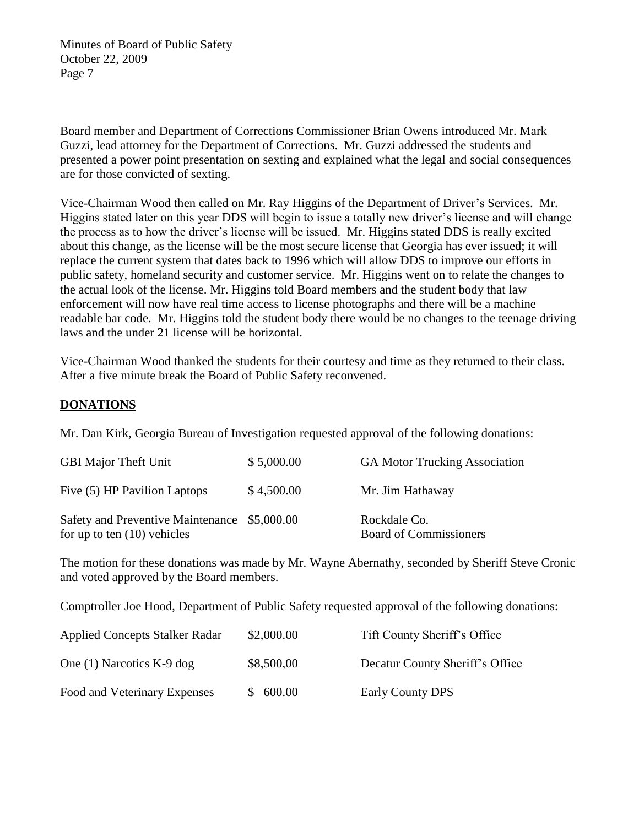Board member and Department of Corrections Commissioner Brian Owens introduced Mr. Mark Guzzi, lead attorney for the Department of Corrections. Mr. Guzzi addressed the students and presented a power point presentation on sexting and explained what the legal and social consequences are for those convicted of sexting.

Vice-Chairman Wood then called on Mr. Ray Higgins of the Department of Driver's Services. Mr. Higgins stated later on this year DDS will begin to issue a totally new driver's license and will change the process as to how the driver's license will be issued. Mr. Higgins stated DDS is really excited about this change, as the license will be the most secure license that Georgia has ever issued; it will replace the current system that dates back to 1996 which will allow DDS to improve our efforts in public safety, homeland security and customer service. Mr. Higgins went on to relate the changes to the actual look of the license. Mr. Higgins told Board members and the student body that law enforcement will now have real time access to license photographs and there will be a machine readable bar code. Mr. Higgins told the student body there would be no changes to the teenage driving laws and the under 21 license will be horizontal.

Vice-Chairman Wood thanked the students for their courtesy and time as they returned to their class. After a five minute break the Board of Public Safety reconvened.

## **DONATIONS**

Mr. Dan Kirk, Georgia Bureau of Investigation requested approval of the following donations:

| <b>GBI Major Theft Unit</b>                                                   | \$5,000.00 | <b>GA Motor Trucking Association</b>          |
|-------------------------------------------------------------------------------|------------|-----------------------------------------------|
| Five (5) HP Pavilion Laptops                                                  | \$4,500.00 | Mr. Jim Hathaway                              |
| Safety and Preventive Maintenance \$5,000.00<br>for up to ten $(10)$ vehicles |            | Rockdale Co.<br><b>Board of Commissioners</b> |

The motion for these donations was made by Mr. Wayne Abernathy, seconded by Sheriff Steve Cronic and voted approved by the Board members.

Comptroller Joe Hood, Department of Public Safety requested approval of the following donations:

| <b>Applied Concepts Stalker Radar</b> | \$2,000.00 | Tift County Sheriff's Office    |
|---------------------------------------|------------|---------------------------------|
| One (1) Narcotics K-9 dog             | \$8,500,00 | Decatur County Sheriff's Office |
| Food and Veterinary Expenses          | \$600.00   | Early County DPS                |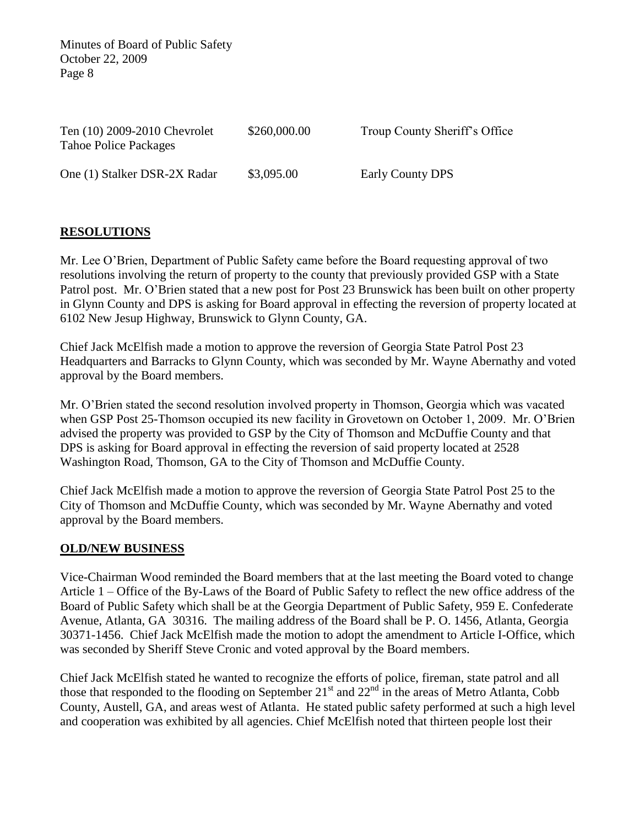| Ten (10) 2009-2010 Chevrolet<br><b>Tahoe Police Packages</b> | \$260,000.00 | Troup County Sheriff's Office |
|--------------------------------------------------------------|--------------|-------------------------------|
| One (1) Stalker DSR-2X Radar                                 | \$3,095.00   | <b>Early County DPS</b>       |

# **RESOLUTIONS**

Mr. Lee O'Brien, Department of Public Safety came before the Board requesting approval of two resolutions involving the return of property to the county that previously provided GSP with a State Patrol post. Mr. O'Brien stated that a new post for Post 23 Brunswick has been built on other property in Glynn County and DPS is asking for Board approval in effecting the reversion of property located at 6102 New Jesup Highway, Brunswick to Glynn County, GA.

Chief Jack McElfish made a motion to approve the reversion of Georgia State Patrol Post 23 Headquarters and Barracks to Glynn County, which was seconded by Mr. Wayne Abernathy and voted approval by the Board members.

Mr. O'Brien stated the second resolution involved property in Thomson, Georgia which was vacated when GSP Post 25-Thomson occupied its new facility in Grovetown on October 1, 2009. Mr. O'Brien advised the property was provided to GSP by the City of Thomson and McDuffie County and that DPS is asking for Board approval in effecting the reversion of said property located at 2528 Washington Road, Thomson, GA to the City of Thomson and McDuffie County.

Chief Jack McElfish made a motion to approve the reversion of Georgia State Patrol Post 25 to the City of Thomson and McDuffie County, which was seconded by Mr. Wayne Abernathy and voted approval by the Board members.

### **OLD/NEW BUSINESS**

Vice-Chairman Wood reminded the Board members that at the last meeting the Board voted to change Article 1 – Office of the By-Laws of the Board of Public Safety to reflect the new office address of the Board of Public Safety which shall be at the Georgia Department of Public Safety, 959 E. Confederate Avenue, Atlanta, GA 30316. The mailing address of the Board shall be P. O. 1456, Atlanta, Georgia 30371-1456. Chief Jack McElfish made the motion to adopt the amendment to Article I-Office, which was seconded by Sheriff Steve Cronic and voted approval by the Board members.

Chief Jack McElfish stated he wanted to recognize the efforts of police, fireman, state patrol and all those that responded to the flooding on September  $21<sup>st</sup>$  and  $22<sup>nd</sup>$  in the areas of Metro Atlanta, Cobb County, Austell, GA, and areas west of Atlanta. He stated public safety performed at such a high level and cooperation was exhibited by all agencies. Chief McElfish noted that thirteen people lost their